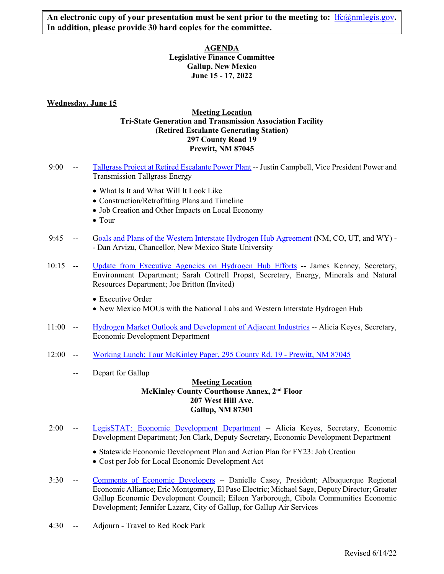An electronic copy of your presentation must be sent prior to the meeting to:  $\frac{1}{c}$  (*a*nmlegis.gov. **In addition, please provide 30 hard copies for the committee.** 

> **AGENDA Legislative Finance Committee Gallup, New Mexico June 15 - 17, 2022**

## **Wednesday, June 15**

# **Meeting Location Tri-State Generation and Transmission Association Facility (Retired Escalante Generating Station) 297 County Road 19 Prewitt, NM 87045**

- 9:00 -- [Tallgrass Project at Retired Escalante Power Plant](https://www.nmlegis.gov/Committee/Handouts?CommitteeCode=ALFC&Date=6/15/2022&ItemNumber=1) -- Justin Campbell, Vice President Power and Transmission Tallgrass Energy
	- What Is It and What Will It Look Like
	- Construction/Retrofitting Plans and Timeline
	- Job Creation and Other Impacts on Local Economy
	- Tour
- 9:45 -- [Goals and Plans of the Western Interstate Hydrogen Hub Agreement](https://www.nmlegis.gov/Committee/Handouts?CommitteeCode=ALFC&Date=6/15/2022&ItemNumber=2) (NM, CO, UT, and WY) - Dan Arvizu, Chancellor, New Mexico State University
- 10:15 -- [Update from Executive Agencies on Hydrogen Hub Efforts](https://www.nmlegis.gov/Committee/Handouts?CommitteeCode=ALFC&Date=6/15/2022&ItemNumber=3) -- James Kenney, Secretary, Environment Department; Sarah Cottrell Propst, Secretary, Energy, Minerals and Natural Resources Department; Joe Britton (Invited)
	- Executive Order
	- New Mexico MOUs with the National Labs and Western Interstate Hydrogen Hub
- 11:00 -- [Hydrogen Market Outlook and Development of Adjacent Industries](https://www.nmlegis.gov/Committee/Handouts?CommitteeCode=ALFC&Date=6/15/2022&ItemNumber=4) -- Alicia Keyes, Secretary, Economic Development Department
- 12:00 -- [Working Lunch: Tour McKinley Paper, 295 County Rd. 19 Prewitt, NM 87045](https://www.nmlegis.gov/Committee/Handouts?CommitteeCode=ALFC&Date=6/15/2022&ItemNumber=5)
	- -- Depart for Gallup

## **Meeting Location McKinley County Courthouse Annex, 2nd Floor 207 West Hill Ave. Gallup, NM 87301**

- 2:00 -- [LegisSTAT: Economic Development Department](https://www.nmlegis.gov/Committee/Handouts?CommitteeCode=ALFC&Date=6/15/2022&ItemNumber=6) -- Alicia Keyes, Secretary, Economic Development Department; Jon Clark, Deputy Secretary, Economic Development Department
	- Statewide Economic Development Plan and Action Plan for FY23: Job Creation
	- Cost per Job for Local Economic Development Act
- 3:30 -- [Comments of Economic Developers](https://www.nmlegis.gov/Committee/Handouts?CommitteeCode=ALFC&Date=6/15/2022&ItemNumber=7) -- Danielle Casey, President; Albuquerque Regional Economic Alliance; Eric Montgomery, El Paso Electric; Michael Sage, Deputy Director; Greater Gallup Economic Development Council; Eileen Yarborough, Cibola Communities Economic Development; Jennifer Lazarz, City of Gallup, for Gallup Air Services
- 4:30 -- Adjourn Travel to Red Rock Park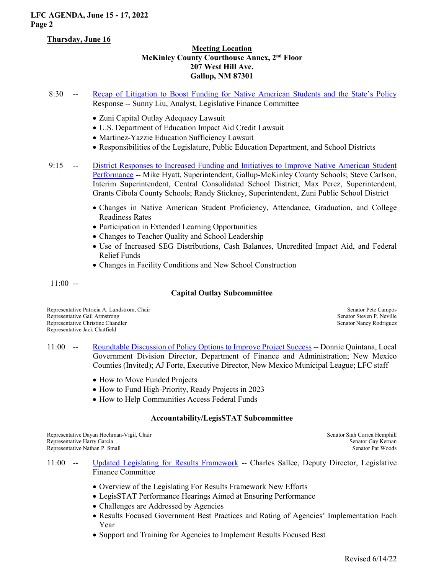# **LFC AGENDA, June 15 - 17, 2022 Page 2**

## **Thursday, June 16**

# **Meeting Location McKinley County Courthouse Annex, 2nd Floor 207 West Hill Ave. Gallup, NM 87301**

- 8:30 -- [Recap of Litigation to Boost Funding for Native American Students and the State's Policy](https://www.nmlegis.gov/Committee/Handouts?CommitteeCode=ALFC&Date=6/15/2022&ItemNumber=8)  Response -- Sunny Liu, Analyst, Legislative Finance Committee
	- Zuni Capital Outlay Adequacy Lawsuit
	- U.S. Department of Education Impact Aid Credit Lawsuit
	- Martinez-Yazzie Education Sufficiency Lawsuit
	- Responsibilities of the Legislature, Public Education Department, and School Districts
- 9:15 -- [District Responses to Increased Funding and Initiatives to Improve Native American Student](https://www.nmlegis.gov/Committee/Handouts?CommitteeCode=ALFC&Date=6/15/2022&ItemNumber=9)  [Performance](https://www.nmlegis.gov/Committee/Handouts?CommitteeCode=ALFC&Date=6/15/2022&ItemNumber=9) -- Mike Hyatt, Superintendent, Gallup-McKinley County Schools; Steve Carlson, Interim Superintendent, Central Consolidated School District; Max Perez, Superintendent, Grants Cibola County Schools; Randy Stickney, Superintendent, Zuni Public School District
	- Changes in Native American Student Proficiency, Attendance, Graduation, and College Readiness Rates
	- Participation in Extended Learning Opportunities
	- Changes to Teacher Quality and School Leadership
	- Use of Increased SEG Distributions, Cash Balances, Uncredited Impact Aid, and Federal Relief Funds
	- Changes in Facility Conditions and New School Construction

 $11:00$  --

### **Capital Outlay Subcommittee**

Representative Patricia A. Lundstrom, Chair Senator Pete Campos Representative Gail Armstrong Senator Steven P. Neville<br>Representative Christine Chandler Senator Nancy Rodriguez Representative Christine Chandler Representative Jack Chatfield

- 11:00 -- [Roundtable Discussion of Policy Options to Improve Project Success](https://www.nmlegis.gov/Committee/Handouts?CommitteeCode=ALFC&Date=6/15/2022&ItemNumber=10) -- Donnie Quintana, Local Government Division Director, Department of Finance and Administration; New Mexico Counties (Invited); AJ Forte, Executive Director, New Mexico Municipal League; LFC staff
	- How to Move Funded Projects
	- How to Fund High-Priority, Ready Projects in 2023
	- How to Help Communities Access Federal Funds

### **Accountability/LegisSTAT Subcommittee**

Representative Dayan Hochman-Vigil, Chair Siah Correa Hemphill Senator Siah Correa Hemphill Representative Harry Garcia and Senator Gay Kernan Senator Gay Kernan Senator Gay Kernan Senator Gay Kernan Senator Gay Kernan Senator Gay Kernan Senator Gay Kernan Senator Pat Woods Representative Nathan P. Small

- 11:00 -- [Updated Legislating for Results](https://www.nmlegis.gov/Committee/Handouts?CommitteeCode=ALFC&Date=6/15/2022&ItemNumber=11) Framework -- Charles Sallee, Deputy Director, Legislative Finance Committee
	- Overview of the Legislating For Results Framework New Efforts
	- LegisSTAT Performance Hearings Aimed at Ensuring Performance
	- Challenges are Addressed by Agencies
	- Results Focused Government Best Practices and Rating of Agencies' Implementation Each Year
	- Support and Training for Agencies to Implement Results Focused Best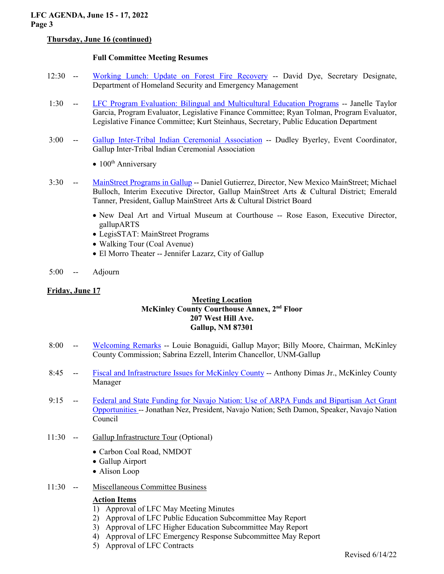# **Thursday, June 16 (continued)**

# **Full Committee Meeting Resumes**

- 12:30 -- [Working Lunch: Update on Forest Fire Recovery](https://www.nmlegis.gov/Committee/Handouts?CommitteeCode=ALFC&Date=6/15/2022&ItemNumber=12) -- David Dye, Secretary Designate, Department of Homeland Security and Emergency Management
- 1:30 -- [LFC Program Evaluation: Bilingual and Multicultural Education Programs](https://www.nmlegis.gov/Committee/Handouts?CommitteeCode=ALFC&Date=6/15/2022&ItemNumber=13) -- Janelle Taylor Garcia, Program Evaluator, Legislative Finance Committee; Ryan Tolman, Program Evaluator, Legislative Finance Committee; Kurt Steinhaus, Secretary, Public Education Department
- 3:00 -- [Gallup Inter-Tribal Indian Ceremonial Association](https://www.nmlegis.gov/Committee/Handouts?CommitteeCode=ALFC&Date=6/15/2022&ItemNumber=14) -- Dudley Byerley, Event Coordinator, Gallup Inter-Tribal Indian Ceremonial Association
	- $100<sup>th</sup>$  Anniversary
- 3:30 -- [MainStreet Programs in Gallup](https://www.nmlegis.gov/Committee/Handouts?CommitteeCode=ALFC&Date=6/15/2022&ItemNumber=15) -- Daniel Gutierrez, Director, New Mexico MainStreet; Michael Bulloch, Interim Executive Director, Gallup MainStreet Arts & Cultural District; Emerald Tanner, President, Gallup MainStreet Arts & Cultural District Board
	- New Deal Art and Virtual Museum at Courthouse -- Rose Eason, Executive Director, gallupARTS
	- LegisSTAT: MainStreet Programs
	- Walking Tour (Coal Avenue)
	- El Morro Theater -- Jennifer Lazarz, City of Gallup
- 5:00 -- Adjourn

## **Friday, June 17**

## **Meeting Location McKinley County Courthouse Annex, 2nd Floor 207 West Hill Ave. Gallup, NM 87301**

- 8:00 -- [Welcoming Remarks](https://www.nmlegis.gov/Committee/Handouts?CommitteeCode=ALFC&Date=6/15/2022&ItemNumber=16) -- Louie Bonaguidi, Gallup Mayor; Billy Moore, Chairman, McKinley County Commission; Sabrina Ezzell, Interim Chancellor, UNM-Gallup
- 8:45 -- [Fiscal and Infrastructure Issues for McKinley County](https://www.nmlegis.gov/Committee/Handouts?CommitteeCode=ALFC&Date=6/15/2022&ItemNumber=17) -- Anthony Dimas Jr., McKinley County Manager
- 9:15 -- [Federal and State Funding for Navajo Nation: Use of ARPA Funds and Bipartisan Act Grant](https://www.nmlegis.gov/Committee/Handouts?CommitteeCode=ALFC&Date=6/15/2022&ItemNumber=18)  [Opportunities -](https://www.nmlegis.gov/Committee/Handouts?CommitteeCode=ALFC&Date=6/15/2022&ItemNumber=18)- Jonathan Nez, President, Navajo Nation; Seth Damon, Speaker, Navajo Nation Council

## 11:30 -- Gallup Infrastructure Tour (Optional)

- Carbon Coal Road, NMDOT
- Gallup Airport
- Alison Loop
- 11:30 -- Miscellaneous Committee Business

## **Action Items**

- 1) Approval of LFC May Meeting Minutes
- 2) Approval of LFC Public Education Subcommittee May Report
- 3) Approval of LFC Higher Education Subcommittee May Report
- 4) Approval of LFC Emergency Response Subcommittee May Report
- 5) Approval of LFC Contracts